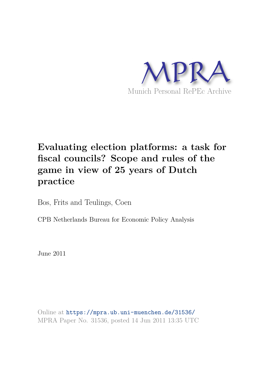

# **Evaluating election platforms: a task for fiscal councils? Scope and rules of the game in view of 25 years of Dutch practice**

Bos, Frits and Teulings, Coen

CPB Netherlands Bureau for Economic Policy Analysis

June 2011

Online at https://mpra.ub.uni-muenchen.de/31536/ MPRA Paper No. 31536, posted 14 Jun 2011 13:35 UTC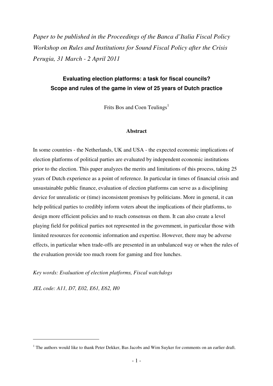*Paper to be published in the Proceedings of the Banca d'Italia Fiscal Policy Workshop on Rules and Institutions for Sound Fiscal Policy after the Crisis Perugia, 31 March - 2 April 2011*

# **Evaluating election platforms: a task for fiscal councils? Scope and rules of the game in view of 25 years of Dutch practice**

Frits Bos and Coen Teulings<sup>1</sup>

## **Abstract**

In some countries - the Netherlands, UK and USA - the expected economic implications of election platforms of political parties are evaluated by independent economic institutions prior to the election. This paper analyzes the merits and limitations of this process, taking 25 years of Dutch experience as a point of reference. In particular in times of financial crisis and unsustainable public finance, evaluation of election platforms can serve as a disciplining device for unrealistic or (time) inconsistent promises by politicians. More in general, it can help political parties to credibly inform voters about the implications of their platforms, to design more efficient policies and to reach consensus on them. It can also create a level playing field for political parties not represented in the government, in particular those with limited resources for economic information and expertise. However, there may be adverse effects, in particular when trade-offs are presented in an unbalanced way or when the rules of the evaluation provide too much room for gaming and free lunches.

*Key words: Evaluation of election platforms, Fiscal watchdogs* 

*JEL code: A11, D7, E02, E61, E62, H0*

<sup>&</sup>lt;sup>1</sup> The authors would like to thank Peter Dekker, Bas Jacobs and Wim Suyker for comments on an earlier draft.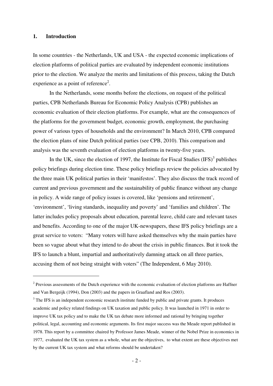## **1. Introduction**

 $\overline{a}$ 

In some countries - the Netherlands, UK and USA - the expected economic implications of election platforms of political parties are evaluated by independent economic institutions prior to the election. We analyze the merits and limitations of this process, taking the Dutch experience as a point of reference<sup>2</sup>.

 In the Netherlands, some months before the elections, on request of the political parties, CPB Netherlands Bureau for Economic Policy Analysis (CPB) publishes an economic evaluation of their election platforms. For example, what are the consequences of the platforms for the government budget, economic growth, employment, the purchasing power of various types of households and the environment? In March 2010, CPB compared the election plans of nine Dutch political parties (see CPB, 2010). This comparison and analysis was the seventh evaluation of election platforms in twenty-five years.

In the UK, since the election of 1997, the Institute for Fiscal Studies  $(IFS)^3$  publishes policy briefings during election time. These policy briefings review the policies advocated by the three main UK political parties in their 'manifestos'. They also discuss the track record of current and previous government and the sustainability of public finance without any change in policy. A wide range of policy issues is covered, like 'pensions and retirement', 'environment', 'living standards, inequality and poverty' and 'families and children'. The latter includes policy proposals about education, parental leave, child care and relevant taxes and benefits. According to one of the major UK-newspapers, these IFS policy briefings are a great service to voters: "Many voters will have asked themselves why the main parties have been so vague about what they intend to do about the crisis in public finances. But it took the IFS to launch a blunt, impartial and authoritatively damning attack on all three parties, accusing them of not being straight with voters" (The Independent, 6 May 2010).

 $2^2$  Previous assessments of the Dutch experience with the economic evaluation of election platforms are Haffner and Van Bergeijk (1994), Don (2003) and the papers in Graafland and Ros (2003).

 $3$  The IFS is an independent economic research institute funded by public and private grants. It produces academic and policy related findings on UK taxation and public policy. It was launched in 1971 in order to improve UK tax policy and to make the UK tax debate more informed and rational by bringing together political, legal, accounting and economic arguments. Its first major success was the Meade report published in 1978. This report by a committee chaired by Professor James Meade, winner of the Nobel Prize in economics in 1977, evaluated the UK tax system as a whole, what are the objectives, to what extent are these objectives met by the current UK tax system and what reforms should be undertaken?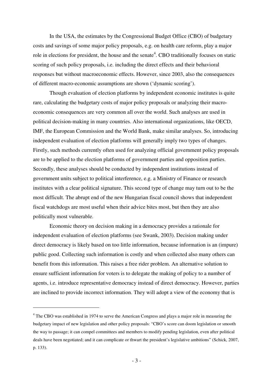In the USA, the estimates by the Congressional Budget Office (CBO) of budgetary costs and savings of some major policy proposals, e.g. on health care reform, play a major role in elections for president, the house and the senate<sup>4</sup>. CBO traditionally focuses on static scoring of such policy proposals, i.e. including the direct effects and their behavioral responses but without macroeconomic effects. However, since 2003, also the consequences of different macro-economic assumptions are shown ('dynamic scoring').

Though evaluation of election platforms by independent economic institutes is quite rare, calculating the budgetary costs of major policy proposals or analyzing their macroeconomic consequences are very common all over the world. Such analyses are used in political decision-making in many countries. Also international organizations, like OECD, IMF, the European Commission and the World Bank, make similar analyses. So, introducing independent evaluation of election platforms will generally imply two types of changes. Firstly, such methods currently often used for analyzing official government policy proposals are to be applied to the election platforms of government parties and opposition parties. Secondly, these analyses should be conducted by independent institutions instead of government units subject to political interference, e.g. a Ministry of Finance or research institutes with a clear political signature. This second type of change may turn out to be the most difficult. The abrupt end of the new Hungarian fiscal council shows that independent fiscal watchdogs are most useful when their advice bites most, but then they are also politically most vulnerable.

 Economic theory on decision making in a democracy provides a rationale for independent evaluation of election platforms (see Swank, 2003). Decision making under direct democracy is likely based on too little information, because information is an (impure) public good. Collecting such information is costly and when collected also many others can benefit from this information. This raises a free rider problem. An alternative solution to ensure sufficient information for voters is to delegate the making of policy to a number of agents, i.e. introduce representative democracy instead of direct democracy. However, parties are inclined to provide incorrect information. They will adopt a view of the economy that is

<sup>&</sup>lt;sup>4</sup> The CBO was established in 1974 to serve the American Congress and plays a major role in measuring the budgetary impact of new legislation and other policy proposals: "CBO's score can doom legislation or smooth the way to passage; it can compel committees and members to modify pending legislation, even after political deals have been negotiated; and it can complicate or thwart the president's legislative ambitions" (Schick, 2007, p. 133).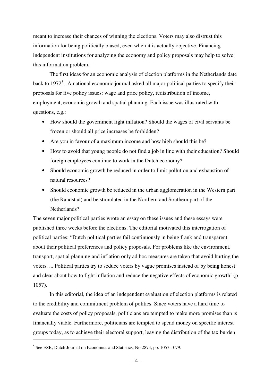meant to increase their chances of winning the elections. Voters may also distrust this information for being politically biased, even when it is actually objective. Financing independent institutions for analyzing the economy and policy proposals may help to solve this information problem.

 The first ideas for an economic analysis of election platforms in the Netherlands date back to 1972<sup>5</sup>. A national economic journal asked all major political parties to specify their proposals for five policy issues: wage and price policy, redistribution of income, employment, economic growth and spatial planning. Each issue was illustrated with questions, e.g.:

- How should the government fight inflation? Should the wages of civil servants be frozen or should all price increases be forbidden?
- Are you in favour of a maximum income and how high should this be?
- How to avoid that young people do not find a job in line with their education? Should foreign employees continue to work in the Dutch economy?
- Should economic growth be reduced in order to limit pollution and exhaustion of natural resources?
- Should economic growth be reduced in the urban agglomeration in the Western part (the Randstad) and be stimulated in the Northern and Southern part of the Netherlands?

The seven major political parties wrote an essay on these issues and these essays were published three weeks before the elections. The editorial motivated this interrogation of political parties: "Dutch political parties fail continuously in being frank and transparent about their political preferences and policy proposals. For problems like the environment, transport, spatial planning and inflation only ad hoc measures are taken that avoid hurting the voters. ... Political parties try to seduce voters by vague promises instead of by being honest and clear about how to fight inflation and reduce the negative effects of economic growth' (p. 1057).

In this editorial, the idea of an independent evaluation of election platforms is related to the credibility and commitment problem of politics. Since voters have a hard time to evaluate the costs of policy proposals, politicians are tempted to make more promises than is financially viable. Furthermore, politicians are tempted to spend money on specific interest groups today, as to achieve their electoral support, leaving the distribution of the tax burden

<sup>&</sup>lt;sup>5</sup> See ESB, Dutch Journal on Economics and Statistics, No 2874, pp. 1057-1079.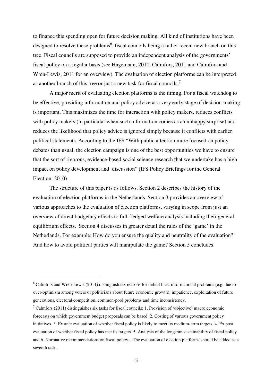to finance this spending open for future decision making. All kind of institutions have been designed to resolve these problems<sup>6</sup>, fiscal councils being a rather recent new branch on this tree. Fiscal councils are supposed to provide an independent analysis of the governments' fiscal policy on a regular basis (see Hagemann, 2010, Calmfors, 2011 and Calmfors and Wren-Lewis, 2011 for an overview). The evaluation of election platforms can be interpreted as another branch of this tree or just a new task for fiscal councils.<sup>7</sup>

 A major merit of evaluating election platforms is the timing. For a fiscal watchdog to be effective, providing information and policy advice at a very early stage of decision-making is important. This maximizes the time for interaction with policy makers, reduces conflicts with policy makers (in particular when such information comes as an unhappy surprise) and reduces the likelihood that policy advice is ignored simply because it conflicts with earlier political statements. According to the IFS "With public attention more focused on policy debates than usual, the election campaign is one of the best opportunities we have to ensure that the sort of rigorous, evidence-based social science research that we undertake has a high impact on policy development and discussion" (IFS Policy Briefings for the General Election, 2010).

 The structure of this paper is as follows. Section 2 describes the history of the evaluation of election platforms in the Netherlands. Section 3 provides an overview of various approaches to the evaluation of election platforms, varying in scope from just an overview of direct budgetary effects to full-fledged welfare analysis including their general equilibrium effects. Section 4 discusses in greater detail the rules of the 'game' in the Netherlands. For example: How do you ensure the quality and neutrality of the evaluation? And how to avoid political parties will manipulate the game? Section 5 concludes.

 $6$  Calmfors and Wren-Lewis (2011) distinguish six reasons for deficit bias: informational problems (e.g. due to over-optimism among voters or politicians about future economic growth), impatience, exploitation of future generations, electoral competition, common-pool problems and time inconsistency.

 $7$  Calmfors (2011) distinguishes six tasks for fiscal councils: 1. Provision of 'objective' macro economic forecasts on which government budget proposals can be based. 2. Costing of various government policy initiatives. 3. Ex ante evaluation of whether fiscal policy is likely to meet its medium-term targets. 4. Ex post evaluation of whether fiscal policy has met its targets. 5. Analysis of the long-run sustainability of fiscal policy and 6. Normative recommendations on fiscal policy. . The evaluation of election platforms should be added as a seventh task.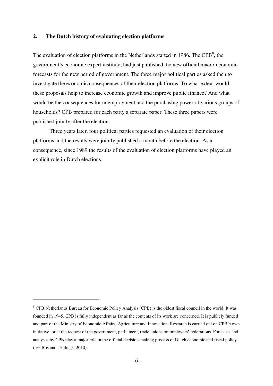# **2. The Dutch history of evaluating election platforms**

The evaluation of election platforms in the Netherlands started in 1986. The CPB<sup>8</sup>, the government's economic expert institute, had just published the new official macro-economic forecasts for the new period of government. The three major political parties asked then to investigate the economic consequences of their election platforms. To what extent would these proposals help to increase economic growth and improve public finance? And what would be the consequences for unemployment and the purchasing power of various groups of households? CPB prepared for each party a separate paper. These three papers were published jointly after the election.

 Three years later, four political parties requested an evaluation of their election platforms and the results were jointly published a month before the election. As a consequence, since 1989 the results of the evaluation of election platforms have played an explicit role in Dutch elections.

<sup>&</sup>lt;sup>8</sup> CPB Netherlands Bureau for Economic Policy Analysis (CPB) is the oldest fiscal council in the world. It was founded in 1945. CPB is fully independent as far as the contents of its work are concerned. It is publicly funded and part of the Ministry of Economic Affairs, Agriculture and Innovation. Research is carried out on CPB's own initiative, or at the request of the government, parliament, trade unions or employers' federations. Forecasts and analyses by CPB play a major role in the official decision-making process of Dutch economic and fiscal policy (see Bos and Teulings, 2010).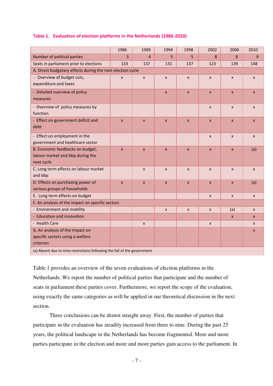#### **Table 1. Evaluation of election platforms in the Netherlands (1986-2010)**

|                                                                          | 1986           | 1989             | 1994                      | 1998             | 2002         | 2006                      | 2010           |
|--------------------------------------------------------------------------|----------------|------------------|---------------------------|------------------|--------------|---------------------------|----------------|
| Number of political parties                                              | $\overline{3}$ | 4                | 5                         | 5                | 8            | 8                         | 9              |
| Seats in parliament prior to elections                                   | 133            | 137              | 131                       | 137              | 123          | 139                       | 148            |
| A. Direct budgetary effects during the next election cycle               |                |                  |                           |                  |              |                           |                |
| - Overview of budget cuts,                                               | $\mathsf{x}$   | $\pmb{\times}$   | $\pmb{\times}$            | $\pmb{\times}$   | $\mathsf{x}$ | $\boldsymbol{\mathsf{x}}$ | $\pmb{\times}$ |
| expenditure and taxes                                                    |                |                  |                           |                  |              |                           |                |
| - Detailed overview of policy                                            |                |                  | $\mathsf{x}$              | $\boldsymbol{x}$ | $\mathsf{x}$ | $\mathsf{x}$              | $\mathsf{x}$   |
| measures                                                                 |                |                  |                           |                  |              |                           |                |
| - Overview of policy measures by                                         |                |                  |                           |                  | X            | $\boldsymbol{\mathsf{x}}$ | $\mathsf{x}$   |
| function                                                                 |                |                  |                           |                  |              |                           |                |
| - Effect on government deficit and                                       | $\pmb{\times}$ | $\pmb{\times}$   | $\pmb{\mathsf{x}}$        | $\pmb{\times}$   | $\mathsf{x}$ | $\boldsymbol{\mathsf{x}}$ | $\mathsf{x}$   |
| debt                                                                     |                |                  |                           |                  |              |                           |                |
| - Effect on employment in the                                            |                |                  |                           |                  | $\mathsf{x}$ | $\mathsf{x}$              | $\mathsf{x}$   |
| government and healthcare sector                                         |                |                  |                           |                  |              |                           |                |
| B. Economic feedbacks on budget,                                         | $\mathsf{x}$   | $\mathsf{x}$     | $\boldsymbol{\mathsf{x}}$ | $\boldsymbol{x}$ | $\mathsf{x}$ | $\boldsymbol{\mathsf{x}}$ | (a)            |
| labour market and bbp during the                                         |                |                  |                           |                  |              |                           |                |
| next cycle                                                               |                |                  |                           |                  |              |                           |                |
| C. Long term effects on labour market                                    |                | $\mathsf{x}$     | $\mathsf{x}$              | $\mathsf{x}$     | $\mathsf{x}$ | $\mathsf{x}$              | $\pmb{\times}$ |
| and bbp                                                                  |                |                  |                           |                  |              |                           |                |
| D. Effects on purchasing power of                                        | $\mathsf{x}$   | $\pmb{\times}$   | $\boldsymbol{x}$          | $\pmb{\times}$   | $\mathsf{x}$ | $\boldsymbol{x}$          | (a)            |
| various groups of households                                             |                |                  |                           |                  |              |                           |                |
| E. Long term effects on budget                                           |                |                  |                           |                  | $\mathsf{x}$ | $\pmb{\times}$            | $\mathsf{x}$   |
| F. An analysis of the impact on specific sectors                         |                |                  |                           |                  |              |                           |                |
| - Environment and mobility                                               |                |                  | $\mathsf{x}$              | X                | $\mathsf{x}$ | (a)                       | $\mathsf{x}$   |
| - Education and innovation                                               |                |                  |                           |                  |              | $\boldsymbol{x}$          | $\mathsf{x}$   |
| - Health Care                                                            |                | $\boldsymbol{x}$ |                           |                  | X            |                           | X              |
| G. An analysis of the impact on                                          |                |                  |                           |                  |              |                           | $\mathsf{x}$   |
| specific sectors using a welfare<br>criterion                            |                |                  |                           |                  |              |                           |                |
| (a) Absent due to time restrictions following the fall of the government |                |                  |                           |                  |              |                           |                |

Table 1 provides an overview of the seven evaluations of election platforms in the Netherlands. We report the number of political parties that participate and the number of seats in parliament these parties cover. Furthermore, we report the scope of the evaluation, using exactly the same categories as will be applied in our theoretical discussion in the next section.

 Three conclusions can be drawn straight away. First, the number of parties that participate in the evaluation has steadily increased from three to nine. During the past 25 years, the political landscape in the Netherlands has become fragmented. More and more parties participate in the election and more and more parties gain access to the parliament. In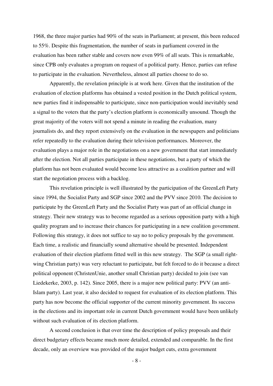1968, the three major parties had 90% of the seats in Parliament; at present, this been reduced to 55%. Despite this fragmentation, the number of seats in parliament covered in the evaluation has been rather stable and covers now even 99% of all seats. This is remarkable, since CPB only evaluates a program on request of a political party. Hence, parties can refuse to participate in the evaluation. Nevertheless, almost all parties choose to do so.

 Apparently, the revelation principle is at work here. Given that the institution of the evaluation of election platforms has obtained a vested position in the Dutch political system, new parties find it indispensable to participate, since non-participation would inevitably send a signal to the voters that the party's election platform is economically unsound. Though the great majority of the voters will not spend a minute in reading the evaluation, many journalists do, and they report extensively on the evaluation in the newspapers and politicians refer repeatedly to the evaluation during their television performances. Moreover, the evaluation plays a major role in the negotiations on a new government that start immediately after the election. Not all parties participate in these negotiations, but a party of which the platform has not been evaluated would become less attractive as a coalition partner and will start the negotiation process with a backlog.

 This revelation principle is well illustrated by the participation of the GreenLeft Party since 1994, the Socialist Party and SGP since 2002 and the PVV since 2010. The decision to participate by the GreenLeft Party and the Socialist Party was part of an official change in strategy. Their new strategy was to become regarded as a serious opposition party with a high quality program and to increase their chances for participating in a new coalition government. Following this strategy, it does not suffice to say no to policy proposals by the government. Each time, a realistic and financially sound alternative should be presented. Independent evaluation of their election platform fitted well in this new strategy. The SGP (a small rightwing Christian party) was very reluctant to participate, but felt forced to do it because a direct political opponent (ChristenUnie, another small Christian party) decided to join (see van Liedekerke, 2003, p. 142). Since 2005, there is a major new political party: PVV (an anti-Islam party). Last year, it also decided to request for evaluation of its election platform. This party has now become the official supporter of the current minority government. Its success in the elections and its important role in current Dutch government would have been unlikely without such evaluation of its election platform.

 A second conclusion is that over time the description of policy proposals and their direct budgetary effects became much more detailed, extended and comparable. In the first decade, only an overview was provided of the major budget cuts, extra government

- 8 -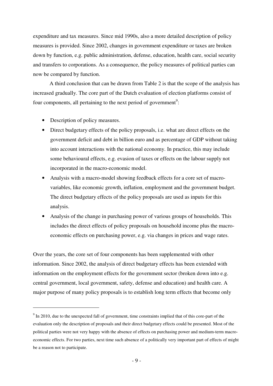expenditure and tax measures. Since mid 1990s, also a more detailed description of policy measures is provided. Since 2002, changes in government expenditure or taxes are broken down by function, e.g. public administration, defense, education, health care, social security and transfers to corporations. As a consequence, the policy measures of political parties can now be compared by function.

 A third conclusion that can be drawn from Table 2 is that the scope of the analysis has increased gradually. The core part of the Dutch evaluation of election platforms consist of four components, all pertaining to the next period of government<sup>9</sup>:

• Description of policy measures.

 $\overline{a}$ 

- Direct budgetary effects of the policy proposals, i.e. what are direct effects on the government deficit and debt in billion euro and as percentage of GDP without taking into account interactions with the national economy. In practice, this may include some behavioural effects, e.g. evasion of taxes or effects on the labour supply not incorporated in the macro-economic model.
- Analysis with a macro-model showing feedback effects for a core set of macrovariables, like economic growth, inflation, employment and the government budget. The direct budgetary effects of the policy proposals are used as inputs for this analysis.
- Analysis of the change in purchasing power of various groups of households. This includes the direct effects of policy proposals on household income plus the macroeconomic effects on purchasing power, e.g. via changes in prices and wage rates.

Over the years, the core set of four components has been supplemented with other information. Since 2002, the analysis of direct budgetary effects has been extended with information on the employment effects for the government sector (broken down into e.g. central government, local government, safety, defense and education) and health care. A major purpose of many policy proposals is to establish long term effects that become only

 $9<sup>9</sup>$  In 2010, due to the unexpected fall of government, time constraints implied that of this core-part of the evaluation only the description of proposals and their direct budgetary effects could be presented. Most of the political parties were not very happy with the absence of effects on purchasing power and medium-term macroeconomic effects. For two parties, next time such absence of a politically very important part of effects of might be a reason not to participate.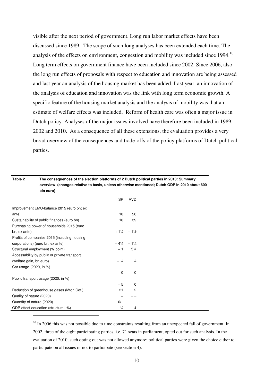visible after the next period of government. Long run labor market effects have been discussed since 1989. The scope of such long analyses has been extended each time. The analysis of the effects on environment, congestion and mobility was included since  $1994$ .<sup>10</sup> Long term effects on government finance have been included since 2002. Since 2006, also the long run effects of proposals with respect to education and innovation are being assessed and last year an analysis of the housing market has been added. Last year, an innovation of the analysis of education and innovation was the link with long term economic growth. A specific feature of the housing market analysis and the analysis of mobility was that an estimate of welfare effects was included. Reform of health care was often a major issue in Dutch policy. Analyses of the major issues involved have therefore been included in 1989, 2002 and 2010. As a consequence of all these extensions, the evaluation provides a very broad overview of the consequences and trade-offs of the policy platforms of Dutch political parties.

| Table 2                          | The consequences of the election platforms of 2 Dutch political parties in 2010: Summary<br>overview (changes relative to basis, unless otherwise mentioned; Dutch GDP in 2010 about 600 |                                   |                |  |
|----------------------------------|------------------------------------------------------------------------------------------------------------------------------------------------------------------------------------------|-----------------------------------|----------------|--|
|                                  | bln euro)                                                                                                                                                                                |                                   |                |  |
|                                  |                                                                                                                                                                                          | <b>SP</b>                         | <b>VVD</b>     |  |
|                                  | Improvement EMU-balance 2015 (euro bn; ex                                                                                                                                                |                                   |                |  |
| ante)                            |                                                                                                                                                                                          | 10 <sup>°</sup>                   | 20             |  |
|                                  | Sustainability of public finances (euro bn)                                                                                                                                              | 16                                | 39             |  |
|                                  | Purchasing power of households 2015 (euro                                                                                                                                                |                                   |                |  |
| bn, ex ante)                     |                                                                                                                                                                                          | $+1\frac{1}{4}$ - 1 $\frac{1}{2}$ |                |  |
|                                  | Profits of companies 2015 (including housing                                                                                                                                             |                                   |                |  |
| corporations) (euro bn, ex ante) |                                                                                                                                                                                          | $-4\frac{1}{4}$ $-1\frac{1}{4}$   |                |  |
|                                  | Structural employment (% point)                                                                                                                                                          | $-1$                              | $5\frac{3}{4}$ |  |
|                                  | Accessability by public or private transport                                                                                                                                             |                                   |                |  |
| (welfare gain, bn euro)          |                                                                                                                                                                                          | $-1/4$                            | $\frac{1}{4}$  |  |
| Car usage (2020, in %)           |                                                                                                                                                                                          |                                   |                |  |
|                                  |                                                                                                                                                                                          | $\mathbf 0$                       | 0              |  |
|                                  | Public transport usage (2020, in %)                                                                                                                                                      |                                   |                |  |
|                                  |                                                                                                                                                                                          | $+5$                              | 0              |  |
|                                  | Reduction of greenhouse gases (Mton Co2)                                                                                                                                                 | 21                                | $\overline{2}$ |  |
| Quality of nature (2020)         |                                                                                                                                                                                          | $\ddot{}$                         |                |  |
| Quantity of nature (2020)        |                                                                                                                                                                                          | $0/-$                             |                |  |
|                                  | GDP effect education (structural, %)                                                                                                                                                     | $\frac{1}{4}$                     | 4              |  |

 $\overline{a}$ 

 $10$  In 2006 this was not possible due to time constraints resulting from an unexpected fall of government. In 2002, three of the eight participating parties, i.e. 71 seats in parliament, opted out for such analysis. In the evaluation of 2010, such opting out was not allowed anymore: political parties were given the choice either to participate on all issues or not to participate (see section 4).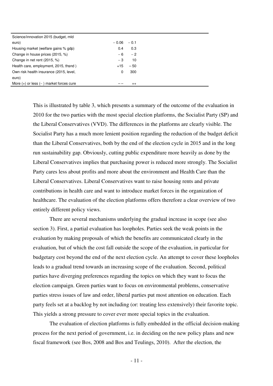| Science/innovation 2015 (budget, mld        |         |         |
|---------------------------------------------|---------|---------|
| euro)                                       | $-0.06$ | $-0.1$  |
| Housing market (welfare gains % gdp)        | 0.4     | 0.3     |
| Change in house prices (2015, %)            | - 6     | $-2$    |
| Change in net rent (2015, %)                | - 3     | 10      |
| Health care, employment, 2015, thsnd)       | $+15$   | $-50$   |
| Own risk health insurance (2015, level,     | 0       | 300     |
| euro)                                       |         |         |
| More $(+)$ or less $(-)$ market forces cure |         | $^{++}$ |

This is illustrated by table 3, which presents a summary of the outcome of the evaluation in 2010 for the two parties with the most special election platforms, the Socialist Party (SP) and the Liberal Conservatives (VVD). The differences in the platforms are clearly visible. The Socialist Party has a much more lenient position regarding the reduction of the budget deficit than the Liberal Conservatives, both by the end of the election cycle in 2015 and in the long run sustainability gap. Obviously, cutting public expenditure more heavily as done by the Liberal Conservatives implies that purchasing power is reduced more strongly. The Socialist Party cares less about profits and more about the environment and Health Care than the Liberal Conservatives. Liberal Conservatives want to raise housing rents and private contributions in health care and want to introduce market forces in the organization of healthcare. The evaluation of the election platforms offers therefore a clear overview of two entirely different policy views.

 There are several mechanisms underlying the gradual increase in scope (see also section 3). First, a partial evaluation has loopholes. Parties seek the weak points in the evaluation by making proposals of which the benefits are communicated clearly in the evaluation, but of which the cost fall outside the scope of the evaluation, in particular for budgetary cost beyond the end of the next election cycle. An attempt to cover these loopholes leads to a gradual trend towards an increasing scope of the evaluation. Second, political parties have diverging preferences regarding the topics on which they want to focus the election campaign. Green parties want to focus on environmental problems, conservative parties stress issues of law and order, liberal parties put most attention on education. Each party feels set at a backlog by not including (or: treating less extensively) their favorite topic. This yields a strong pressure to cover ever more special topics in the evaluation.

 The evaluation of election platforms is fully embedded in the official decision-making process for the next period of government, i.e. in deciding on the new policy plans and new fiscal framework (see Bos, 2008 and Bos and Teulings, 2010). After the election, the

- 11 -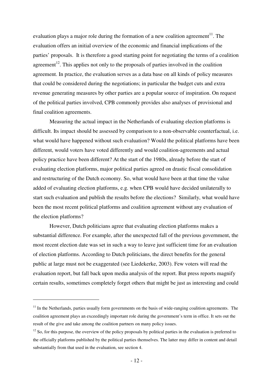evaluation plays a major role during the formation of a new coalition agreement<sup>11</sup>. The evaluation offers an initial overview of the economic and financial implications of the parties' proposals. It is therefore a good starting point for negotiating the terms of a coalition agreement<sup>12</sup>. This applies not only to the proposals of parties involved in the coalition agreement. In practice, the evaluation serves as a data base on all kinds of policy measures that could be considered during the negotiations; in particular the budget cuts and extra revenue generating measures by other parties are a popular source of inspiration. On request of the political parties involved, CPB commonly provides also analyses of provisional and final coalition agreements.

 Measuring the actual impact in the Netherlands of evaluating election platforms is difficult. Its impact should be assessed by comparison to a non-observable counterfactual, i.e. what would have happened without such evaluation? Would the political platforms have been different, would voters have voted differently and would coalition-agreements and actual policy practice have been different? At the start of the 1980s, already before the start of evaluating election platforms, major political parties agreed on drastic fiscal consolidation and restructuring of the Dutch economy. So, what would have been at that time the value added of evaluating election platforms, e.g. when CPB would have decided unilaterally to start such evaluation and publish the results before the elections? Similarly, what would have been the most recent political platforms and coalition agreement without any evaluation of the election platforms?

 However, Dutch politicians agree that evaluating election platforms makes a substantial difference. For example, after the unexpected fall of the previous government, the most recent election date was set in such a way to leave just sufficient time for an evaluation of election platforms. According to Dutch politicians, the direct benefits for the general public at large must not be exaggerated (see Liedekerke, 2003). Few voters will read the evaluation report, but fall back upon media analysis of the report. But press reports magnify certain results, sometimes completely forget others that might be just as interesting and could

 $11$  In the Netherlands, parties usually form governments on the basis of wide-ranging coalition agreements. The coalition agreement plays an exceedingly important role during the government's term in office. It sets out the result of the give and take among the coalition partners on many policy issues.

 $12$  So, for this purpose, the overview of the policy proposals by political parties in the evaluation is preferred to the officially platforms published by the political parties themselves. The latter may differ in content and detail substantially from that used in the evaluation, see section 4.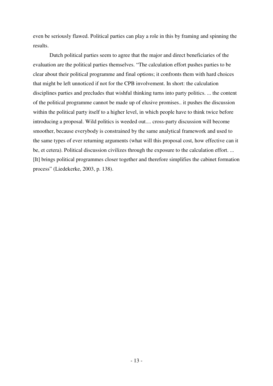even be seriously flawed. Political parties can play a role in this by framing and spinning the results.

 Dutch political parties seem to agree that the major and direct beneficiaries of the evaluation are the political parties themselves. "The calculation effort pushes parties to be clear about their political programme and final options; it confronts them with hard choices that might be left unnoticed if not for the CPB involvement. In short: the calculation disciplines parties and precludes that wishful thinking turns into party politics. ... the content of the political programme cannot be made up of elusive promises.. it pushes the discussion within the political party itself to a higher level, in which people have to think twice before introducing a proposal. Wild politics is weeded out.... cross-party discussion will become smoother, because everybody is constrained by the same analytical framework and used to the same types of ever returning arguments (what will this proposal cost, how effective can it be, et cetera). Political discussion civilizes through the exposure to the calculation effort. ... [It] brings political programmes closer together and therefore simplifies the cabinet formation process" (Liedekerke, 2003, p. 138).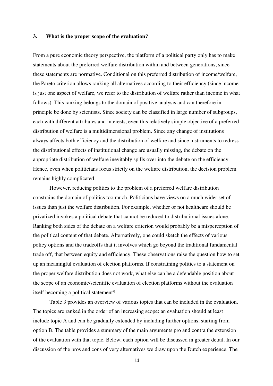#### **3. What is the proper scope of the evaluation?**

From a pure economic theory perspective, the platform of a political party only has to make statements about the preferred welfare distribution within and between generations, since these statements are normative. Conditional on this preferred distribution of income/welfare, the Pareto criterion allows ranking all alternatives according to their efficiency (since income is just one aspect of welfare, we refer to the distribution of welfare rather than income in what follows). This ranking belongs to the domain of positive analysis and can therefore in principle be done by scientists. Since society can be classified in large number of subgroups, each with different attributes and interests, even this relatively simple objective of a preferred distribution of welfare is a multidimensional problem. Since any change of institutions always affects both efficiency and the distribution of welfare and since instruments to redress the distributional effects of institutional change are usually missing, the debate on the appropriate distribution of welfare inevitably spills over into the debate on the efficiency. Hence, even when politicians focus strictly on the welfare distribution, the decision problem remains highly complicated.

 However, reducing politics to the problem of a preferred welfare distribution constrains the domain of politics too much. Politicians have views on a much wider set of issues than just the welfare distribution. For example, whether or not healthcare should be privatized invokes a political debate that cannot be reduced to distributional issues alone. Ranking both sides of the debate on a welfare criterion would probably be a misperception of the political content of that debate. Alternatively, one could sketch the effects of various policy options and the tradeoffs that it involves which go beyond the traditional fundamental trade off, that between equity and efficiency. These observations raise the question how to set up an meaningful evaluation of election platforms. If constraining politics to a statement on the proper welfare distribution does not work, what else can be a defendable position about the scope of an economic/scientific evaluation of election platforms without the evaluation itself becoming a political statement?

 Table 3 provides an overview of various topics that can be included in the evaluation. The topics are ranked in the order of an increasing scope: an evaluation should at least include topic A and can be gradually extended by including further options, starting from option B. The table provides a summary of the main arguments pro and contra the extension of the evaluation with that topic. Below, each option will be discussed in greater detail. In our discussion of the pros and cons of very alternatives we draw upon the Dutch experience. The

- 14 -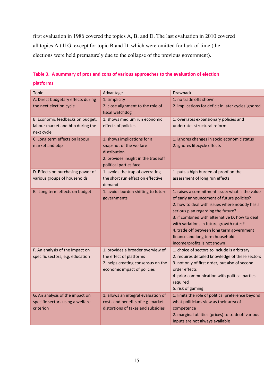first evaluation in 1986 covered the topics A, B, and D. The last evaluation in 2010 covered all topics A till G, except for topic B and D, which were omitted for lack of time (the elections were held prematurely due to the collapse of the previous government).

| <b>Topic</b>                                   | Advantage                                                                                                | <b>Drawback</b>                                                                                                                                                                                                                                                                                                                                                                                 |  |  |
|------------------------------------------------|----------------------------------------------------------------------------------------------------------|-------------------------------------------------------------------------------------------------------------------------------------------------------------------------------------------------------------------------------------------------------------------------------------------------------------------------------------------------------------------------------------------------|--|--|
| A. Direct budgetary effects during             | 1. simplicity                                                                                            | 1. no trade offs shown                                                                                                                                                                                                                                                                                                                                                                          |  |  |
| the next election cycle                        | 2. close alignment to the role of<br>fiscal watchdog                                                     | 2. implications for deficit in later cycles ignored                                                                                                                                                                                                                                                                                                                                             |  |  |
| B. Economic feedbacks on budget,               | 1. shows medium run economic                                                                             | 1. overrates expansionary policies and                                                                                                                                                                                                                                                                                                                                                          |  |  |
| labour market and bbp during the<br>next cycle | effects of policies                                                                                      | underrates structural reform                                                                                                                                                                                                                                                                                                                                                                    |  |  |
| C. Long term effects on labour                 | 1. shows implications for a                                                                              | 1. ignores changes in socio economic status                                                                                                                                                                                                                                                                                                                                                     |  |  |
| market and bbp                                 | snapshot of the welfare<br>distribution<br>2. provides insight in the tradeoff<br>political parties face | 2. ignores lifecycle effects                                                                                                                                                                                                                                                                                                                                                                    |  |  |
| D. Effects on purchasing power of              | 1. avoids the trap of overrating                                                                         | 1. puts a high burden of proof on the                                                                                                                                                                                                                                                                                                                                                           |  |  |
| various groups of households                   | the short run effect on effective<br>demand                                                              | assessment of long run effects                                                                                                                                                                                                                                                                                                                                                                  |  |  |
| E. Long term effects on budget                 | 1. avoids burden shifting to future<br>governments                                                       | 1. raises a commitment issue: what is the value<br>of early announcement of future policies?<br>2. how to deal with issues where nobody has a<br>serious plan regarding the future?<br>3. if combined with alternative D: how to deal<br>with variations in future growth rates?<br>4. trade off between long term government<br>finance and long term household<br>income/profits is not shown |  |  |
| F. An analysis of the impact on                | 1. provides a broader overview of                                                                        | 1. choice of sectors to include is arbitrary                                                                                                                                                                                                                                                                                                                                                    |  |  |
| specific sectors, e.g. education               | the effect of platforms                                                                                  | 2. requires detailed knowledge of these sectors                                                                                                                                                                                                                                                                                                                                                 |  |  |
|                                                | 2. helps creating consensus on the                                                                       | 3. not only of first order, but also of second                                                                                                                                                                                                                                                                                                                                                  |  |  |
|                                                | economic impact of policies                                                                              | order effects                                                                                                                                                                                                                                                                                                                                                                                   |  |  |
|                                                |                                                                                                          | 4. prior communication with political parties                                                                                                                                                                                                                                                                                                                                                   |  |  |
|                                                |                                                                                                          | required                                                                                                                                                                                                                                                                                                                                                                                        |  |  |
|                                                |                                                                                                          | 5. risk of gaming                                                                                                                                                                                                                                                                                                                                                                               |  |  |
| G. An analysis of the impact on                | 1. allows an integral evaluation of<br>costs and benefits of e.g. market                                 | 1. limits the role of political preference beyond                                                                                                                                                                                                                                                                                                                                               |  |  |
| specific sectors using a welfare<br>criterion  | distortions of taxes and subsidies                                                                       | what politicians view as their area of<br>competence                                                                                                                                                                                                                                                                                                                                            |  |  |
|                                                |                                                                                                          | 2. marginal utilities (prices) to tradeoff various                                                                                                                                                                                                                                                                                                                                              |  |  |
|                                                |                                                                                                          | inputs are not always available                                                                                                                                                                                                                                                                                                                                                                 |  |  |
|                                                |                                                                                                          |                                                                                                                                                                                                                                                                                                                                                                                                 |  |  |

# **Table 3. A summary of pros and cons of various approaches to the evaluation of election platforms**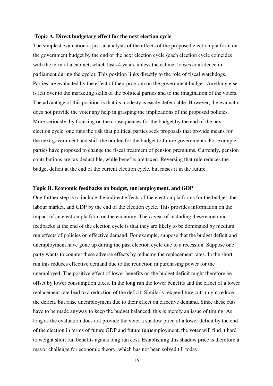#### **Topic A. Direct budgetary effect for the next election cycle**

The simplest evaluation is just an analysis of the effects of the proposed election platform on the government budget by the end of the next election cycle (each election cycle coincides with the term of a cabinet, which lasts 4 years, unless the cabinet looses confidence in parliament during the cycle). This position links directly to the role of fiscal watchdogs. Parties are evaluated by the effect of their program on the government budget. Anything else is left over to the marketing skills of the political parties and to the imagination of the voters. The advantage of this position is that its modesty is easily defendable. However, the evaluator does not provide the voter any help in grasping the implications of the proposed policies. More seriously, by focusing on the consequences for the budget by the end of the next election cycle, one runs the risk that political parties seek proposals that provide means for the next government and shift the burden for the budget to future governments. For example, parties have proposed to change the fiscal treatment of pension premiums. Currently, pension contributions are tax deductible, while benefits are taxed. Reversing that rule reduces the budget deficit at the end of the current election cycle, but raises it in the future.

# **Topic B. Economic feedbacks on budget, (un)employment, and GDP**

One further step is to include the indirect effects of the election platforms for the budget, the labour market, and GDP by the end of the election cycle. This provides information on the impact of an election platform on the economy. The caveat of including these economic feedbacks at the end of the election cycle is that they are likely to be dominated by medium run effects of policies on effective demand. For example, suppose that the budget deficit and unemployment have gone up during the past election cycle due to a recession. Suppose one party wants to counter these adverse effects by reducing the replacement rates. In the short run this reduces effective demand due to the reduction in purchasing power for the unemployed. The positive effect of lower benefits on the budget deficit might therefore be offset by lower consumption taxes. In the long run the lower benefits and the effect of a lower replacement rate lead to a reduction of the deficit. Similarly, expenditure cuts might reduce the deficit, but raise unemployment due to their effect on effective demand. Since these cuts have to be made anyway to keep the budget balanced, this is merely an issue of timing. As long as the evaluation does not provide the voter a shadow price of a lower deficit by the end of the election in terms of future GDP and future (un)employment, the voter will find it hard to weight short run benefits agains long run cost. Establishing this shadow price is therefore a mayor challenge for economic theory, which has not been solved till today.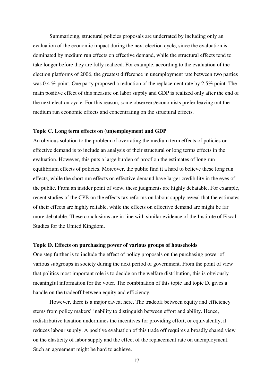Summarizing, structural policies proposals are underrated by including only an evaluation of the economic impact during the next election cycle, since the evaluation is dominated by medium run effects on effective demand, while the structural effects tend to take longer before they are fully realized. For example, according to the evaluation of the election platforms of 2006, the greatest difference in unemployment rate between two parties was 0.4 %-point. One party proposed a reduction of the replacement rate by 2.5% point. The main positive effect of this measure on labor supply and GDP is realized only after the end of the next election cycle. For this reason, some observers/economists prefer leaving out the medium run economic effects and concentrating on the structural effects.

# **Topic C. Long term effects on (un)employment and GDP**

An obvious solution to the problem of overrating the medium term effects of policies on effective demand is to include an analysis of their structural or long terms effects in the evaluation. However, this puts a large burden of proof on the estimates of long run equilibrium effects of policies. Moreover, the public find it a hard to believe these long run effects, while the short run effects on effective demand have larger credibility in the eyes of the public. From an insider point of view, these judgments are highly debatable. For example, recent studies of the CPB on the effects tax reforms on labour supply reveal that the estimates of their effects are highly reliable, while the effects on effective demand are might be far more debatable. These conclusions are in line with similar evidence of the Institute of Fiscal Studies for the United Kingdom.

# **Topic D. Effects on purchasing power of various groups of households**

One step further is to include the effect of policy proposals on the purchasing power of various subgroups in society during the next period of government. From the point of view that politics most important role is to decide on the welfare distribution, this is obviously meaningful information for the voter. The combination of this topic and topic D. gives a handle on the tradeoff between equity and efficiency.

 However, there is a major caveat here. The tradeoff between equity and efficiency stems from policy makers' inability to distinguish between effort and ability. Hence, redistributive taxation undermines the incentives for providing effort, or equivalently, it reduces labour supply. A positive evaluation of this trade off requires a broadly shared view on the elasticity of labor supply and the effect of the replacement rate on unemployment. Such an agreement might be hard to achieve.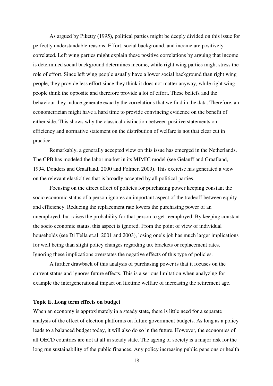As argued by Piketty (1995), political parties might be deeply divided on this issue for perfectly understandable reasons. Effort, social background, and income are positively correlated. Left wing parties might explain these positive correlations by arguing that income is determined social background determines income, while right wing parties might stress the role of effort. Since left wing people usually have a lower social background than right wing people, they provide less effort since they think it does not matter anyway, while right wing people think the opposite and therefore provide a lot of effort. These beliefs and the behaviour they induce generate exactly the correlations that we find in the data. Therefore, an econometrician might have a hard time to provide convincing evidence on the benefit of either side. This shows why the classical distinction between positive statements on efficiency and normative statement on the distribution of welfare is not that clear cut in practice.

 Remarkably, a generally accepted view on this issue has emerged in the Netherlands. The CPB has modeled the labor market in its MIMIC model (see Gelauff and Graafland, 1994, Donders and Graafland, 2000 and Folmer, 2009). This exercise has generated a view on the relevant elasticities that is broadly accepted by all political parties.

 Focusing on the direct effect of policies for purchasing power keeping constant the socio economic status of a person ignores an important aspect of the tradeoff between equity and efficiency. Reducing the replacement rate lowers the purchasing power of an unemployed, but raises the probability for that person to get reemployed. By keeping constant the socio economic status, this aspect is ignored. From the point of view of individual households (see Di Tella et.al. 2001 and 2003), losing one's job has much larger implications for well being than slight policy changes regarding tax brackets or replacement rates. Ignoring these implications overstates the negative effects of this type of policies.

 A further drawback of this analysis of purchasing power is that it focuses on the current status and ignores future effects. This is a serious limitation when analyzing for example the intergenerational impact on lifetime welfare of increasing the retirement age.

## **Topic E. Long term effects on budget**

When an economy is approximately in a steady state, there is little need for a separate analysis of the effect of election platforms on future government budgets. As long as a policy leads to a balanced budget today, it will also do so in the future. However, the economies of all OECD countries are not at all in steady state. The ageing of society is a major risk for the long run sustainability of the public finances. Any policy increasing public pensions or health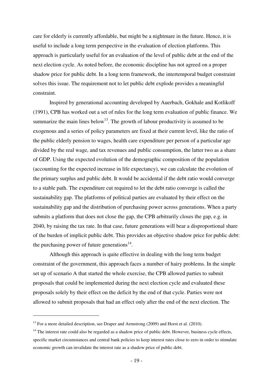care for elderly is currently affordable, but might be a nightmare in the future. Hence, it is useful to include a long term perspective in the evaluation of election platforms. This approach is particularly useful for an evaluation of the level of public debt at the end of the next election cycle. As noted before, the economic discipline has not agreed on a proper shadow price for public debt. In a long term framework, the intertemporal budget constraint solves this issue. The requirement not to let public debt explode provides a meaningful constraint.

 Inspired by generational accounting developed by Auerbach, Gokhale and Kotlikoff (1991), CPB has worked out a set of rules for the long term evaluation of public finance. We summarize the main lines below<sup>13</sup>. The growth of labour productivity is assumed to be exogenous and a series of policy parameters are fixed at their current level, like the ratio of the public elderly pension to wages, health care expenditure per person of a particular age divided by the real wage, and tax revenues and public consumption, the latter two as a share of GDP. Using the expected evolution of the demographic composition of the population (accounting for the expected increase in life expectancy), we can calculate the evolution of the primary surplus and public debt. It would be accidental if the debt ratio would converge to a stable path. The expenditure cut required to let the debt ratio converge is called the sustainability gap. The platforms of political parties are evaluated by their effect on the sustainability gap and the distribution of purchasing power across generations. When a party submits a platform that does not close the gap, the CPB arbitrarily closes the gap, e.g. in 2040, by raising the tax rate. In that case, future generations will bear a disproportional share of the burden of implicit public debt. This provides an objective shadow price for public debt: the purchasing power of future generations $^{14}$ .

 Although this approach is quite effective in dealing with the long term budget constraint of the government, this approach faces a number of hairy problems. In the simple set up of scenario A that started the whole exercise, the CPB allowed parties to submit proposals that could be implemented during the next election cycle and evaluated these proposals solely by their effect on the deficit by the end of that cycle. Parties were not allowed to submit proposals that had an effect only after the end of the next election. The

 $13$  For a more detailed description, see Draper and Armstrong (2009) and Horst et al. (2010).

<sup>&</sup>lt;sup>14</sup> The interest rate could also be regarded as a shadow price of public debt. However, business cycle effects, specific market circumstances and central bank policies to keep interest rates close to zero in order to stimulate economic growth can invalidate the interest rate as a shadow price of public debt.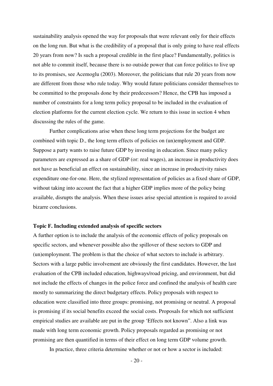sustainability analysis opened the way for proposals that were relevant only for their effects on the long run. But what is the credibility of a proposal that is only going to have real effects 20 years from now? Is such a proposal credible in the first place? Fundamentally, politics is not able to commit itself, because there is no outside power that can force politics to live up to its promises, see Acemoglu (2003). Moreover, the politicians that rule 20 years from now are different from those who rule today. Why would future politicians consider themselves to be committed to the proposals done by their predecessors? Hence, the CPB has imposed a number of constraints for a long term policy proposal to be included in the evaluation of election platforms for the current election cycle. We return to this issue in section 4 when discussing the rules of the game.

 Further complications arise when these long term projections for the budget are combined with topic D., the long term effects of policies on (un)employment and GDP. Suppose a party wants to raise future GDP by investing in education. Since many policy parameters are expressed as a share of GDP (or: real wages), an increase in productivity does not have as beneficial an effect on sustainability, since an increase in productivity raises expenditure one-for-one. Here, the stylized representation of policies as a fixed share of GDP, without taking into account the fact that a higher GDP implies more of the policy being available, disrupts the analysis. When these issues arise special attention is required to avoid bizarre conclusions.

#### **Topic F. Including extended analysis of specific sectors**

A further option is to include the analysis of the economic effects of policy proposals on specific sectors, and whenever possible also the spillover of these sectors to GDP and (un)employment. The problem is that the choice of what sectors to include is arbitrary. Sectors with a large public involvement are obviously the first candidates. However, the last evaluation of the CPB included education, highways/road pricing, and environment, but did not include the effects of changes in the police force and confined the analysis of health care mostly to summarizing the direct budgetary effects. Policy proposals with respect to education were classified into three groups: promising, not promising or neutral. A proposal is promising if its social benefits exceed the social costs. Proposals for which not sufficient empirical studies are available are put in the group 'Effects not known". Also a link was made with long term economic growth. Policy proposals regarded as promising or not promising are then quantified in terms of their effect on long term GDP volume growth.

In practice, three criteria determine whether or not or how a sector is included: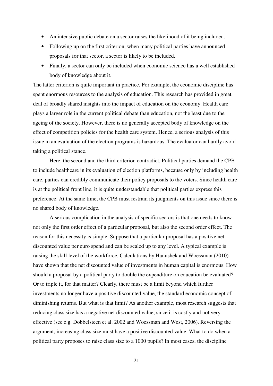- An intensive public debate on a sector raises the likelihood of it being included.
- Following up on the first criterion, when many political parties have announced proposals for that sector, a sector is likely to be included.
- Finally, a sector can only be included when economic science has a well established body of knowledge about it.

The latter criterion is quite important in practice. For example, the economic discipline has spent enormous resources to the analysis of education. This research has provided in great deal of broadly shared insights into the impact of education on the economy. Health care plays a larger role in the current political debate than education, not the least due to the ageing of the society. However, there is no generally accepted body of knowledge on the effect of competition policies for the health care system. Hence, a serious analysis of this issue in an evaluation of the election programs is hazardous. The evaluator can hardly avoid taking a political stance.

 Here, the second and the third criterion contradict. Political parties demand the CPB to include healthcare in its evaluation of election platforms, because only by including health care, parties can credibly communicate their policy proposals to the voters. Since health care is at the political front line, it is quite understandable that political parties express this preference. At the same time, the CPB must restrain its judgments on this issue since there is no shared body of knowledge.

 A serious complication in the analysis of specific sectors is that one needs to know not only the first order effect of a particular proposal, but also the second order effect. The reason for this necessity is simple. Suppose that a particular proposal has a positive net discounted value per euro spend and can be scaled up to any level. A typical example is raising the skill level of the workforce. Calculations by Hanushek and Woessman (2010) have shown that the net discounted value of investments in human capital is enormous. How should a proposal by a political party to double the expenditure on education be evaluated? Or to triple it, for that matter? Clearly, there must be a limit beyond which further investments no longer have a positive discounted value, the standard economic concept of diminishing returns. But what is that limit? As another example, most research suggests that reducing class size has a negative net discounted value, since it is costly and not very effective (see e.g. Dobbelsteen et al. 2002 and Woessman and West, 2006). Reversing the argument, increasing class size must have a positive discounted value. What to do when a political party proposes to raise class size to a 1000 pupils? In most cases, the discipline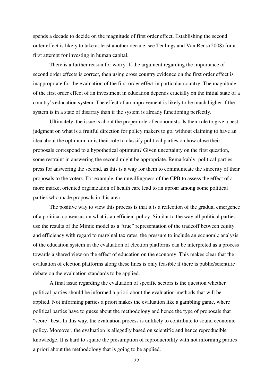spends a decade to decide on the magnitude of first order effect. Establishing the second order effect is likely to take at least another decade, see Teulings and Van Rens (2008) for a first attempt for investing in human capital.

 There is a further reason for worry. If the argument regarding the importance of second order effects is correct, then using cross country evidence on the first order effect is inappropriate for the evaluation of the first order effect in particular country. The magnitude of the first order effect of an investment in education depends crucially on the initial state of a country's education system. The effect of an improvement is likely to be much higher if the system is in a state of disarray than if the system is already functioning perfectly.

 Ultimately, the issue is about the proper role of economists. Is their role to give a best judgment on what is a fruitful direction for policy makers to go, without claiming to have an idea about the optimum, or is their role to classify political parties on how close their proposals correspond to a hypothetical optimum? Given uncertainty on the first question, some restraint in answering the second might be appropriate. Remarkably, political parties press for answering the second, as this is a way for them to communicate the sincerity of their proposals to the voters. For example, the unwillingness of the CPB to assess the effect of a more market oriented organization of health care lead to an uproar among some political parties who made proposals in this area.

 The positive way to view this process is that it is a reflection of the gradual emergence of a political consensus on what is an efficient policy. Similar to the way all political parties use the results of the Mimic model as a "true" representation of the tradeoff between equity and efficiency with regard to marginal tax rates, the pressure to include an economic analysis of the education system in the evaluation of election platforms can be interpreted as a process towards a shared view on the effect of education on the economy. This makes clear that the evaluation of election platforms along these lines is only feasible if there is public/scientific debate on the evaluation standards to be applied.

 A final issue regarding the evaluation of specific sectors is the question whether political parties should be informed a priori about the evaluation-methods that will be applied. Not informing parties a priori makes the evaluation like a gambling game, where political parties have to guess about the methodology and hence the type of proposals that "score" best. In this way, the evaluation process is unlikely to contribute to sound economic policy. Moreover, the evaluation is allegedly based on scientific and hence reproducible knowledge. It is hard to square the presumption of reproducibility with not informing parties a priori about the methodology that is going to be applied.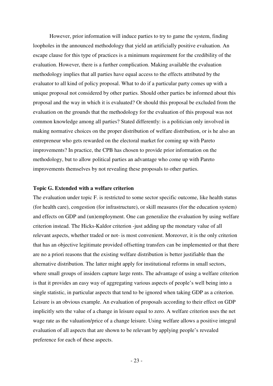However, prior information will induce parties to try to game the system, finding loopholes in the announced methodology that yield an artificially positive evaluation. An escape clause for this type of practices is a minimum requirement for the credibility of the evaluation. However, there is a further complication. Making available the evaluation methodology implies that all parties have equal access to the effects attributed by the evaluator to all kind of policy proposal. What to do if a particular party comes up with a unique proposal not considered by other parties. Should other parties be informed about this proposal and the way in which it is evaluated? Or should this proposal be excluded from the evaluation on the grounds that the methodology for the evaluation of this proposal was not common knowledge among all parties? Stated differently: is a politician only involved in making normative choices on the proper distribution of welfare distribution, or is he also an entrepreneur who gets rewarded on the electoral market for coming up with Pareto improvements? In practice, the CPB has chosen to provide prior information on the methodology, but to allow political parties an advantage who come up with Pareto improvements themselves by not revealing these proposals to other parties.

# **Topic G. Extended with a welfare criterion**

The evaluation under topic F. is restricted to some sector specific outcome, like health status (for health care), congestion (for infrastructure), or skill measures (for the education system) and effects on GDP and (un)employment. One can generalize the evaluation by using welfare criterion instead. The Hicks-Kaldor criterion -just adding up the monetary value of all relevant aspects, whether traded or not- is most convenient. Moreover, it is the only criterion that has an objective legitimate provided offsetting transfers can be implemented or that there are no a priori reasons that the existing welfare distribution is better justifiable than the alternative distribution. The latter might apply for institutional reforms in small sectors, where small groups of insiders capture large rents. The advantage of using a welfare criterion is that it provides an easy way of aggregating various aspects of people's well being into a single statistic, in particular aspects that tend to be ignored when taking GDP as a criterion. Leisure is an obvious example. An evaluation of proposals according to their effect on GDP implicitly sets the value of a change in leisure equal to zero. A welfare criterion uses the net wage rate as the valuation/price of a change leisure. Using welfare allows a positive integral evaluation of all aspects that are shown to be relevant by applying people's revealed preference for each of these aspects.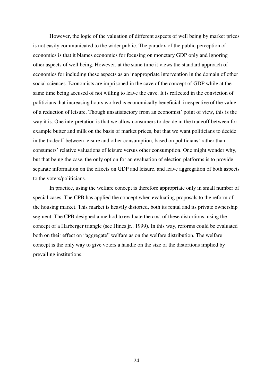However, the logic of the valuation of different aspects of well being by market prices is not easily communicated to the wider public. The paradox of the public perception of economics is that it blames economics for focusing on monetary GDP only and ignoring other aspects of well being. However, at the same time it views the standard approach of economics for including these aspects as an inappropriate intervention in the domain of other social sciences. Economists are imprisoned in the cave of the concept of GDP while at the same time being accused of not willing to leave the cave. It is reflected in the conviction of politicians that increasing hours worked is economically beneficial, irrespective of the value of a reduction of leisure. Though unsatisfactory from an economist' point of view, this is the way it is. One interpretation is that we allow consumers to decide in the tradeoff between for example butter and milk on the basis of market prices, but that we want politicians to decide in the tradeoff between leisure and other consumption, based on politicians' rather than consumers' relative valuations of leisure versus other consumption. One might wonder why, but that being the case, the only option for an evaluation of election platforms is to provide separate information on the effects on GDP and leisure, and leave aggregation of both aspects to the voters/politicians.

 In practice, using the welfare concept is therefore appropriate only in small number of special cases. The CPB has applied the concept when evaluating proposals to the reform of the housing market. This market is heavily distorted, both its rental and its private ownership segment. The CPB designed a method to evaluate the cost of these distortions, using the concept of a Harberger triangle (see Hines jr., 1999). In this way, reforms could be evaluated both on their effect on "aggregate" welfare as on the welfare distribution. The welfare concept is the only way to give voters a handle on the size of the distortions implied by prevailing institutions.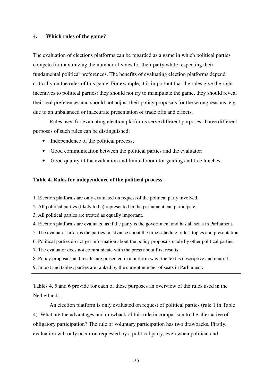# **4. Which rules of the game?**

The evaluation of elections platforms can be regarded as a game in which political parties compete for maximizing the number of votes for their party while respecting their fundamental political preferences. The benefits of evaluating election platforms depend critically on the rules of this game. For example, it is important that the rules give the right incentives to political parties: they should not try to manipulate the game, they should reveal their real preferences and should not adjust their policy proposals for the wrong reasons, e.g. due to an unbalanced or inaccurate presentation of trade offs and effects.

 Rules used for evaluating election platforms serve different purposes. Three different purposes of such rules can be distinguished:

- Independence of the political process;
- Good communication between the political parties and the evaluator;
- Good quality of the evaluation and limited room for gaming and free lunches.

# **Table 4. Rules for independence of the political process.**

- 1. Election platforms are only evaluated on request of the political party involved.
- 2. All political parties (likely to be) represented in the parliament can participate.
- 3. All political parties are treated as equally important.
- 4. Election platforms are evaluated as if the party is the government and has all seats in Parliament.
- 5. The evaluator informs the parties in advance about the time schedule, rules, topics and presentation.
- 6. Political parties do not get information about the policy proposals made by other political parties.
- 7. The evaluator does not communicate with the press about first results.
- 8. Policy proposals and results are presented in a uniform way; the text is descriptive and neutral.
- 9. In text and tables, parties are ranked by the current number of seats in Parliament.

Tables 4, 5 and 6 provide for each of these purposes an overview of the rules used in the Netherlands.

 An election platform is only evaluated on request of political parties (rule 1 in Table 4). What are the advantages and drawback of this rule in comparison to the alternative of obligatory participation? The rule of voluntary participation has two drawbacks. Firstly, evaluation will only occur on requested by a political party, even when political and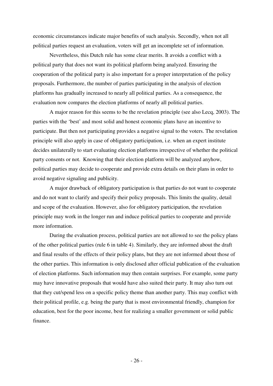economic circumstances indicate major benefits of such analysis. Secondly, when not all political parties request an evaluation, voters will get an incomplete set of information.

 Nevertheless, this Dutch rule has some clear merits. It avoids a conflict with a political party that does not want its political platform being analyzed. Ensuring the cooperation of the political party is also important for a proper interpretation of the policy proposals. Furthermore, the number of parties participating in the analysis of election platforms has gradually increased to nearly all political parties. As a consequence, the evaluation now compares the election platforms of nearly all political parties.

 A major reason for this seems to be the revelation principle (see also Lecq, 2003). The parties with the 'best' and most solid and honest economic plans have an incentive to participate. But then not participating provides a negative signal to the voters. The revelation principle will also apply in case of obligatory participation, i.e. when an expert institute decides unilaterally to start evaluating election platforms irrespective of whether the political party consents or not. Knowing that their election platform will be analyzed anyhow, political parties may decide to cooperate and provide extra details on their plans in order to avoid negative signaling and publicity.

 A major drawback of obligatory participation is that parties do not want to cooperate and do not want to clarify and specify their policy proposals. This limits the quality, detail and scope of the evaluation. However, also for obligatory participation, the revelation principle may work in the longer run and induce political parties to cooperate and provide more information.

 During the evaluation process, political parties are not allowed to see the policy plans of the other political parties (rule 6 in table 4). Similarly, they are informed about the draft and final results of the effects of their policy plans, but they are not informed about those of the other parties. This information is only disclosed after official publication of the evaluation of election platforms. Such information may then contain surprises. For example, some party may have innovative proposals that would have also suited their party. It may also turn out that they cut/spend less on a specific policy theme than another party. This may conflict with their political profile, e.g. being the party that is most environmental friendly, champion for education, best for the poor income, best for realizing a smaller government or solid public finance.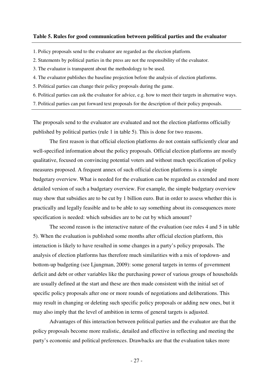## **Table 5. Rules for good communication between political parties and the evaluator**

- 1. Policy proposals send to the evaluator are regarded as the election platform.
- 2. Statements by political parties in the press are not the responsibility of the evaluator.
- 3. The evaluator is transparent about the methodology to be used.
- 4. The evaluator publishes the baseline projection before the analysis of election platforms.
- 5. Political parties can change their policy proposals during the game.
- 6. Political parties can ask the evaluator for advice, e.g. how to meet their targets in alternative ways.
- 7. Political parties can put forward text proposals for the description of their policy proposals.

The proposals send to the evaluator are evaluated and not the election platforms officially published by political parties (rule 1 in table 5). This is done for two reasons.

 The first reason is that official election platforms do not contain sufficiently clear and well-specified information about the policy proposals. Official election platforms are mostly qualitative, focused on convincing potential voters and without much specification of policy measures proposed. A frequent annex of such official election platforms is a simple budgetary overview. What is needed for the evaluation can be regarded as extended and more detailed version of such a budgetary overview. For example, the simple budgetary overview may show that subsidies are to be cut by 1 billion euro. But in order to assess whether this is practically and legally feasible and to be able to say something about its consequences more specification is needed: which subsidies are to be cut by which amount?

 The second reason is the interactive nature of the evaluation (see rules 4 and 5 in table 5). When the evaluation is published some months after official election platform, this interaction is likely to have resulted in some changes in a party's policy proposals. The analysis of election platforms has therefore much similarities with a mix of topdown- and bottom-up budgeting (see Ljungman, 2009): some general targets in terms of government deficit and debt or other variables like the purchasing power of various groups of households are usually defined at the start and these are then made consistent with the initial set of specific policy proposals after one or more rounds of negotiations and deliberations. This may result in changing or deleting such specific policy proposals or adding new ones, but it may also imply that the level of ambition in terms of general targets is adjusted.

Advantages of this interaction between political parties and the evaluator are that the policy proposals become more realistic, detailed and effective in reflecting and meeting the party's economic and political preferences. Drawbacks are that the evaluation takes more

- 27 -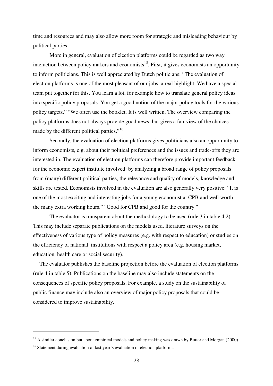time and resources and may also allow more room for strategic and misleading behaviour by political parties.

 More in general, evaluation of election platforms could be regarded as two way interaction between policy makers and economists<sup>15</sup>. First, it gives economists an opportunity to inform politicians. This is well appreciated by Dutch politicians: "The evaluation of election platforms is one of the most pleasant of our jobs, a real highlight. We have a special team put together for this. You learn a lot, for example how to translate general policy ideas into specific policy proposals. You get a good notion of the major policy tools for the various policy targets." "We often use the booklet. It is well written. The overview comparing the policy platforms does not always provide good news, but gives a fair view of the choices made by the different political parties."<sup>16</sup>

 Secondly, the evaluation of election platforms gives politicians also an opportunity to inform economists, e.g. about their political preferences and the issues and trade-offs they are interested in. The evaluation of election platforms can therefore provide important feedback for the economic expert institute involved: by analyzing a broad range of policy proposals from (many) different political parties, the relevance and quality of models, knowledge and skills are tested. Economists involved in the evaluation are also generally very positive: "It is one of the most exciting and interesting jobs for a young economist at CPB and well worth the many extra working hours." "Good for CPB and good for the country."

 The evaluator is transparent about the methodology to be used (rule 3 in table 4.2). This may include separate publications on the models used, literature surveys on the effectiveness of various type of policy measures (e.g. with respect to education) or studies on the efficiency of national institutions with respect a policy area (e.g. housing market, education, health care or social security).

The evaluator publishes the baseline projection before the evaluation of election platforms (rule 4 in table 5). Publications on the baseline may also include statements on the consequences of specific policy proposals. For example, a study on the sustainability of public finance may include also an overview of major policy proposals that could be considered to improve sustainability.

<sup>&</sup>lt;sup>15</sup> A similar conclusion but about empirical models and policy making was drawn by Butter and Morgan (2000).

<sup>&</sup>lt;sup>16</sup> Statement during evaluation of last year's evaluation of election platforms.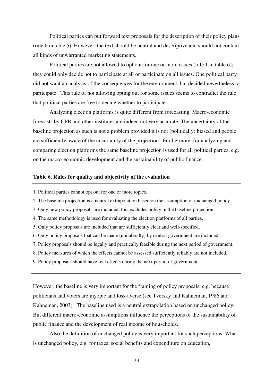Political parties can put forward text proposals for the description of their policy plans (rule 6 in table 5). However, the text should be neutral and descriptive and should not contain all kinds of unwarranted marketing statements.

 Political parties are not allowed to opt out for one or more issues (rule 1 in table 6); they could only decide not to participate at all or participate on all issues. One political party did not want an analysis of the consequences for the environment, but decided nevertheless to participate. This rule of not allowing opting out for some issues seems to contradict the rule that political parties are free to decide whether to participate.

Analyzing election platforms is quite different from forecasting. Macro-economic forecasts by CPB and other institutes are indeed not very accurate. The uncertainty of the baseline projection as such is not a problem provided it is not (politically) biased and people are sufficiently aware of the uncertainty of the projection. Furthermore, for analyzing and comparing election platforms the same baseline projection is used for all political parties, e.g. on the macro-economic development and the sustainability of public finance.

## **Table 6. Rules for quality and objectivity of the evaluation**

- 1. Political parties cannot opt out for one or more topics.
- 2. The baseline projection is a neutral extrapolation based on the assumption of unchanged policy.
- 3. Only new policy proposals are included; this excludes policy in the baseline projection.
- 4. The same methodology is used for evaluating the election platforms of all parties.
- 5. Only policy proposals are included that are sufficiently clear and well-specified.
- 6. Only policy proposals that can be made (unilaterally) by central government are included.
- 7. Policy proposals should be legally and practically feasible during the next period of government.
- 8. Policy measures of which the effects cannot be assessed sufficiently reliably are not included.
- 9. Policy proposals should have real effects during the next period of government.

However, the baseline is very important for the framing of policy proposals, e.g. because politicians and voters are myopic and loss-averse (see Tversky and Kahneman, 1986 and Kahneman, 2003). The baseline used is a neutral extrapolation based on unchanged policy. But different macro-economic assumptions influence the perceptions of the sustainability of public finance and the development of real income of households.

 Also the definition of unchanged policy is very important for such perceptions. What is unchanged policy, e.g. for taxes, social benefits and expenditure on education,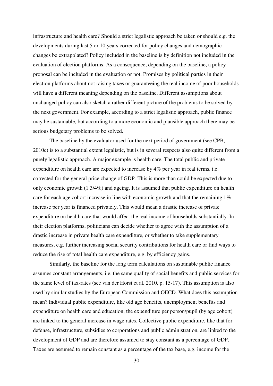infrastructure and health care? Should a strict legalistic approach be taken or should e.g. the developments during last 5 or 10 years corrected for policy changes and demographic changes be extrapolated? Policy included in the baseline is by definition not included in the evaluation of election platforms. As a consequence, depending on the baseline, a policy proposal can be included in the evaluation or not. Promises by political parties in their election platforms about not raising taxes or guaranteeing the real income of poor households will have a different meaning depending on the baseline. Different assumptions about unchanged policy can also sketch a rather different picture of the problems to be solved by the next government. For example, according to a strict legalistic approach, public finance may be sustainable, but according to a more economic and plausible approach there may be serious budgetary problems to be solved.

 The baseline by the evaluator used for the next period of government (see CPB, 2010c) is to a substantial extent legalistic, but is in several respects also quite different from a purely legalistic approach. A major example is health care. The total public and private expenditure on health care are expected to increase by 4% per year in real terms, i.e. corrected for the general price change of GDP. This is more than could be expected due to only economic growth (1 3/4%) and ageing. It is assumed that public expenditure on health care for each age cohort increase in line with economic growth and that the remaining 1% increase per year is financed privately. This would mean a drastic increase of private expenditure on health care that would affect the real income of households substantially. In their election platforms, politicians can decide whether to agree with the assumption of a drastic increase in private health care expenditure, or whether to take supplementary measures, e.g. further increasing social security contributions for health care or find ways to reduce the rise of total health care expenditure, e.g. by efficiency gains.

 Similarly, the baseline for the long term calculations on sustainable public finance assumes constant arrangements, i.e. the same quality of social benefits and public services for the same level of tax-rates (see van der Horst et al, 2010, p. 15-17). This assumption is also used by similar studies by the European Commission and OECD. What does this assumption mean? Individual public expenditure, like old age benefits, unemployment benefits and expenditure on health care and education, the expenditure per person/pupil (by age cohort) are linked to the general increase in wage rates. Collective public expenditure, like that for defense, infrastructure, subsidies to corporations and public administration, are linked to the development of GDP and are therefore assumed to stay constant as a percentage of GDP. Taxes are assumed to remain constant as a percentage of the tax base, e.g. income for the

- 30 -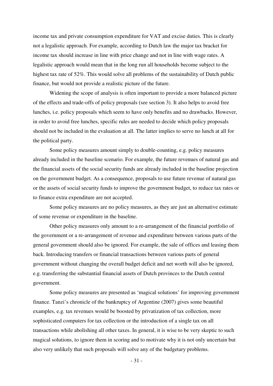income tax and private consumption expenditure for VAT and excise duties. This is clearly not a legalistic approach. For example, according to Dutch law the major tax bracket for income tax should increase in line with price change and not in line with wage rates. A legalistic approach would mean that in the long run all households become subject to the highest tax rate of 52%. This would solve all problems of the sustainability of Dutch public finance, but would not provide a realistic picture of the future.

 Widening the scope of analysis is often important to provide a more balanced picture of the effects and trade-offs of policy proposals (see section 3). It also helps to avoid free lunches, i.e. policy proposals which seem to have only benefits and no drawbacks. However, in order to avoid free lunches, specific rules are needed to decide which policy proposals should not be included in the evaluation at all. The latter implies to serve no lunch at all for the political party.

 Some policy measures amount simply to double-counting, e.g. policy measures already included in the baseline scenario. For example, the future revenues of natural gas and the financial assets of the social security funds are already included in the baseline projection on the government budget. As a consequence, proposals to use future revenue of natural gas or the assets of social security funds to improve the government budget, to reduce tax rates or to finance extra expenditure are not accepted.

 Some policy measures are no policy measures, as they are just an alternative estimate of some revenue or expenditure in the baseline.

 Other policy measures only amount to a re-arrangement of the financial portfolio of the government or a re-arrangement of revenue and expenditure between various parts of the general government should also be ignored. For example, the sale of offices and leasing them back. Introducing transfers or financial transactions between various parts of general government without changing the overall budget deficit and net worth will also be ignored, e.g. transferring the substantial financial assets of Dutch provinces to the Dutch central government.

 Some policy measures are presented as 'magical solutions' for improving government finance. Tanzi's chronicle of the bankruptcy of Argentine (2007) gives some beautiful examples, e.g. tax revenues would be boosted by privatization of tax collection, more sophisticated computers for tax collection or the introduction of a single tax on all transactions while abolishing all other taxes. In general, it is wise to be very skeptic to such magical solutions, to ignore them in scoring and to motivate why it is not only uncertain but also very unlikely that such proposals will solve any of the budgetary problems.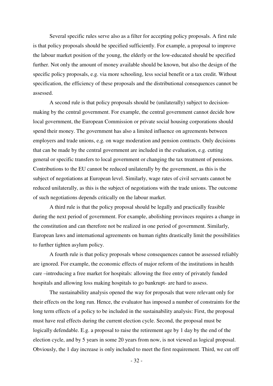Several specific rules serve also as a filter for accepting policy proposals. A first rule is that policy proposals should be specified sufficiently. For example, a proposal to improve the labour market position of the young, the elderly or the low-educated should be specified further. Not only the amount of money available should be known, but also the design of the specific policy proposals, e.g. via more schooling, less social benefit or a tax credit. Without specification, the efficiency of these proposals and the distributional consequences cannot be assessed.

 A second rule is that policy proposals should be (unilaterally) subject to decisionmaking by the central government. For example, the central government cannot decide how local government, the European Commission or private social housing corporations should spend their money. The government has also a limited influence on agreements between employers and trade unions, e.g. on wage moderation and pension contracts. Only decisions that can be made by the central government are included in the evaluation, e.g. cutting general or specific transfers to local government or changing the tax treatment of pensions. Contributions to the EU cannot be reduced unilaterally by the government, as this is the subject of negotiations at European level. Similarly, wage rates of civil servants cannot be reduced unilaterally, as this is the subject of negotiations with the trade unions. The outcome of such negotiations depends critically on the labour market.

 A third rule is that the policy proposal should be legally and practically feasible during the next period of government. For example, abolishing provinces requires a change in the constitution and can therefore not be realized in one period of government. Similarly, European laws and international agreements on human rights drastically limit the possibilities to further tighten asylum policy.

 A fourth rule is that policy proposals whose consequences cannot be assessed reliably are ignored. For example, the economic effects of major reform of the institutions in health care –introducing a free market for hospitals: allowing the free entry of privately funded hospitals and allowing loss making hospitals to go bankrupt- are hard to assess.

 The sustainability analysis opened the way for proposals that were relevant only for their effects on the long run. Hence, the evaluator has imposed a number of constraints for the long term effects of a policy to be included in the sustainability analysis: First, the proposal must have real effects during the current election cycle. Second, the proposal must be logically defendable. E.g. a proposal to raise the retirement age by 1 day by the end of the election cycle, and by 5 years in some 20 years from now, is not viewed as logical proposal. Obviously, the 1 day increase is only included to meet the first requirement. Third, we cut off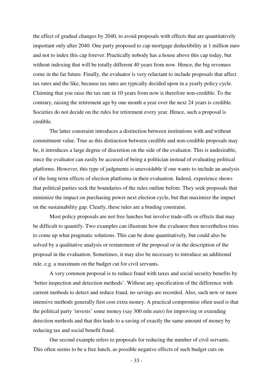the effect of gradual changes by 2040, to avoid proposals with effects that are quantitatively important only after 2040. One party proposed to cap mortgage deductibility at 1 million euro and not to index this cap forever. Practically nobody has a house above this cap today, but without indexing that will be totally different 40 years from now. Hence, the big revenues come in the far future. Finally, the evaluator is very reluctant to include proposals that affect tax rates and the like, because tax rates are typically decided upon in a yearly policy cycle. Claiming that you raise the tax rate in 10 years from now is therefore non-credible. To the contrary, raising the retirement age by one month a year over the next 24 years is credible. Societies do not decide on the rules for retirement every year. Hence, such a proposal is credible.

 The latter constraint introduces a distinction between institutions with and without commitment value. True as this distinction between credible and non-credible proposals may be, it introduces a large degree of discretion on the side of the evaluator. This is undesirable, since the evaluator can easily be accused of being a politician instead of evaluating political platforms. However, this type of judgments is unavoidable if one wants to include an analysis of the long term effects of election platforms in their evaluation. Indeed, experience shows that political parties seek the boundaries of the rules outline before. They seek proposals that minimize the impact on purchasing power next election cycle, but that maximize the impact on the sustainability gap. Clearly, these rules are a binding constraint.

 Most policy proposals are not free lunches but involve trade-offs or effects that may be difficult to quantify. Two examples can illustrate how the evaluator then nevertheless tries to come up what pragmatic solutions. This can be done quantitatively, but could also be solved by a qualitative analysis or restatement of the proposal or in the description of the proposal in the evaluation. Sometimes, it may also be necessary to introduce an additional rule, e.g. a maximum on the budget cut for civil servants.

 A very common proposal is to reduce fraud with taxes and social security benefits by 'better inspection and detection methods'. Without any specification of the difference with current methods to detect and reduce fraud, no savings are recorded. Also, such new or more intensive methods generally first cost extra money. A practical compromise often used is that the political party 'invests' some money (say 300 mln euro) for improving or extending detection methods and that this leads to a saving of exactly the same amount of money by reducing tax and social benefit fraud.

 Our second example refers to proposals for reducing the number of civil servants. This often seems to be a free lunch, as possible negative effects of such budget cuts on

- 33 -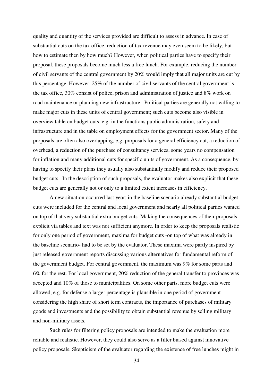quality and quantity of the services provided are difficult to assess in advance. In case of substantial cuts on the tax office, reduction of tax revenue may even seem to be likely, but how to estimate then by how much? However, when political parties have to specify their proposal, these proposals become much less a free lunch. For example, reducing the number of civil servants of the central government by 20% would imply that all major units are cut by this percentage. However, 25% of the number of civil servants of the central government is the tax office, 30% consist of police, prison and administration of justice and 8% work on road maintenance or planning new infrastructure. Political parties are generally not willing to make major cuts in these units of central government; such cuts become also visible in overview table on budget cuts, e.g. in the functions public administration, safety and infrastructure and in the table on employment effects for the government sector. Many of the proposals are often also overlapping, e.g. proposals for a general efficiency cut, a reduction of overhead, a reduction of the purchase of consultancy services, some years no compensation for inflation and many additional cuts for specific units of government. As a consequence, by having to specify their plans they usually also substantially modify and reduce their proposed budget cuts. In the description of such proposals, the evaluator makes also explicit that these budget cuts are generally not or only to a limited extent increases in efficiency.

A new situation occurred last year: in the baseline scenario already substantial budget cuts were included for the central and local government and nearly all political parties wanted on top of that very substantial extra budget cuts. Making the consequences of their proposals explicit via tables and text was not sufficient anymore. In order to keep the proposals realistic for only one period of government, maxima for budget cuts -on top of what was already in the baseline scenario- had to be set by the evaluator. These maxima were partly inspired by just released government reports discussing various alternatives for fundamental reform of the government budget. For central government, the maximum was 9% for some parts and 6% for the rest. For local government, 20% reduction of the general transfer to provinces was accepted and 10% of those to municipalities. On some other parts, more budget cuts were allowed, e.g. for defense a larger percentage is plausible in one period of government considering the high share of short term contracts, the importance of purchases of military goods and investments and the possibility to obtain substantial revenue by selling military and non-military assets.

 Such rules for filtering policy proposals are intended to make the evaluation more reliable and realistic. However, they could also serve as a filter biased against innovative policy proposals. Skepticism of the evaluator regarding the existence of free lunches might in

- 34 -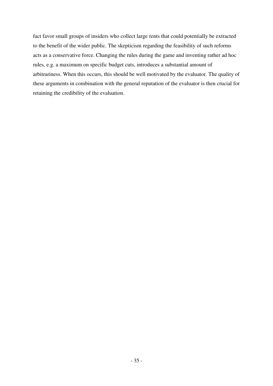fact favor small groups of insiders who collect large rents that could potentially be extracted to the benefit of the wider public. The skepticism regarding the feasibility of such reforms acts as a conservative force. Changing the rules during the game and inventing rather ad hoc rules, e.g. a maximum on specific budget cuts, introduces a substantial amount of arbitrariness. When this occurs, this should be well motivated by the evaluator. The quality of these arguments in combination with the general reputation of the evaluator is then crucial for retaining the credibility of the evaluation.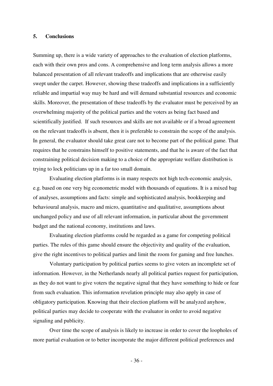# **5. Conclusions**

Summing up, there is a wide variety of approaches to the evaluation of election platforms, each with their own pros and cons. A comprehensive and long term analysis allows a more balanced presentation of all relevant tradeoffs and implications that are otherwise easily swept under the carpet. However, showing these tradeoffs and implications in a sufficiently reliable and impartial way may be hard and will demand substantial resources and economic skills. Moreover, the presentation of these tradeoffs by the evaluator must be perceived by an overwhelming majority of the political parties and the voters as being fact based and scientifically justified. If such resources and skills are not available or if a broad agreement on the relevant tradeoffs is absent, then it is preferable to constrain the scope of the analysis. In general, the evaluator should take great care not to become part of the political game. That requires that he constrains himself to positive statements, and that he is aware of the fact that constraining political decision making to a choice of the appropriate welfare distribution is trying to lock politicians up in a far too small domain.

 Evaluating election platforms is in many respects not high tech-economic analysis, e.g. based on one very big econometric model with thousands of equations. It is a mixed bag of analyses, assumptions and facts: simple and sophisticated analysis, bookkeeping and behavioural analysis, macro and micro, quantitative and qualitative, assumptions about unchanged policy and use of all relevant information, in particular about the government budget and the national economy, institutions and laws.

 Evaluating election platforms could be regarded as a game for competing political parties. The rules of this game should ensure the objectivity and quality of the evaluation, give the right incentives to political parties and limit the room for gaming and free lunches.

 Voluntary participation by political parties seems to give voters an incomplete set of information. However, in the Netherlands nearly all political parties request for participation, as they do not want to give voters the negative signal that they have something to hide or fear from such evaluation. This information revelation principle may also apply in case of obligatory participation. Knowing that their election platform will be analyzed anyhow, political parties may decide to cooperate with the evaluator in order to avoid negative signaling and publicity.

 Over time the scope of analysis is likely to increase in order to cover the loopholes of more partial evaluation or to better incorporate the major different political preferences and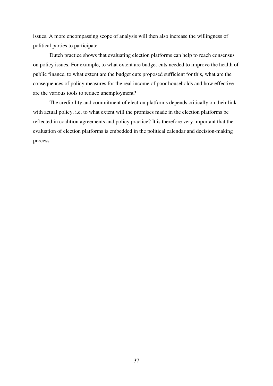issues. A more encompassing scope of analysis will then also increase the willingness of political parties to participate.

 Dutch practice shows that evaluating election platforms can help to reach consensus on policy issues. For example, to what extent are budget cuts needed to improve the health of public finance, to what extent are the budget cuts proposed sufficient for this, what are the consequences of policy measures for the real income of poor households and how effective are the various tools to reduce unemployment?

 The credibility and commitment of election platforms depends critically on their link with actual policy, i.e. to what extent will the promises made in the election platforms be reflected in coalition agreements and policy practice? It is therefore very important that the evaluation of election platforms is embedded in the political calendar and decision-making process.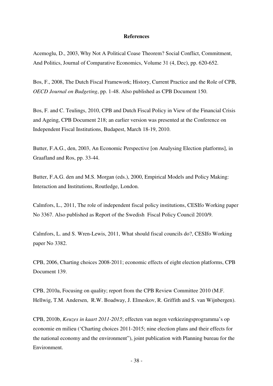#### **References**

Acemoglu, D., 2003, Why Not A Political Coase Theorem? Social Conflict, Commitment, And Politics, Journal of Comparative Economics, Volume 31 (4, Dec), pp. 620-652.

Bos, F., 2008, The Dutch Fiscal Framework; History, Current Practice and the Role of CPB, *OECD Journal on Budgeting*, pp. 1-48. Also published as CPB Document 150.

Bos, F. and C. Teulings, 2010, CPB and Dutch Fiscal Policy in View of the Financial Crisis and Ageing, CPB Document 218; an earlier version was presented at the Conference on Independent Fiscal Institutions, Budapest, March 18-19, 2010.

Butter, F.A.G., den, 2003, An Economic Perspective [on Analysing Election platforms], in Graafland and Ros, pp. 33-44.

Butter, F.A.G. den and M.S. Morgan (eds.), 2000, Empirical Models and Policy Making: Interaction and Institutions, Routledge, London.

Calmfors, L., 2011, The role of independent fiscal policy institutions, CESIfo Working paper No 3367. Also published as Report of the Swedish Fiscal Policy Council 2010/9.

Calmfors, L. and S. Wren-Lewis, 2011, What should fiscal councils do?, CESIfo Working paper No 3382.

CPB, 2006, Charting choices 2008-2011; economic effects of eight election platforms, CPB Document 139.

CPB, 2010a, Focusing on quality; report from the CPB Review Committee 2010 (M.F. Hellwig, T.M. Andersen, R.W. Boadway, J. Elmeskov, R. Griffith and S. van Wijnbergen).

CPB, 2010b, *Keuzes in kaart 2011-2015*; effecten van negen verkiezingsprogramma's op economie en milieu ('Charting choices 2011-2015; nine election plans and their effects for the national economy and the environment"), joint publication with Planning bureau for the Environment.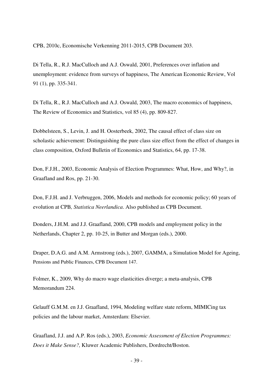CPB, 2010c, Economische Verkenning 2011-2015, CPB Document 203.

Di Tella, R., R.J. MacCulloch and A.J. Oswald, 2001, Preferences over inflation and unemployment: evidence from surveys of happiness, The American Economic Review, Vol 91 (1), pp. 335-341.

Di Tella, R., R.J. MacCulloch and A.J. Oswald, 2003, The macro economics of happiness, The Review of Economics and Statistics, vol 85 (4), pp. 809-827.

Dobbelsteen, S., Levin, J. and H. Oosterbeek, 2002, The causal effect of class size on scholastic achievement: Distinguishing the pure class size effect from the effect of changes in class composition, Oxford Bulletin of Economics and Statistics, 64, pp. 17-38.

Don, F.J.H., 2003, Economic Analysis of Election Programmes: What, How, and Why?, in Graafland and Ros, pp. 21-30.

Don, F.J.H. and J. Verbruggen, 2006, Models and methods for economic policy; 60 years of evolution at CPB*, Statistica Neerlandica*. Also published as CPB Document.

Donders, J.H.M. and J.J. Graafland, 2000, CPB models and employment policy in the Netherlands, Chapter 2, pp. 10-25, in Butter and Morgan (eds.), 2000.

Draper, D.A.G. and A.M. Armstrong (eds.), 2007, GAMMA, a Simulation Model for Ageing, Pensions and Public Finances, CPB Document 147.

Folmer, K., 2009, Why do macro wage elasticities diverge; a meta-analysis, CPB Memorandum 224.

Gelauff G.M.M. en J.J. Graafland, 1994, Modeling welfare state reform, MIMICing tax policies and the labour market, Amsterdam: Elsevier.

Graafland, J.J. and A.P. Ros (eds.), 2003, *Economic Assessment of Election Programmes: Does it Make Sense?,* Kluwer Academic Publishers, Dordrecht/Boston.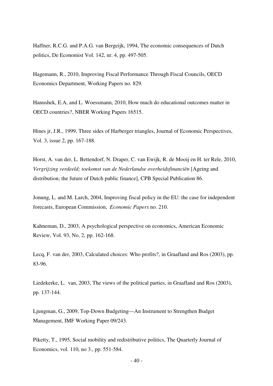Haffner, R.C.G. and P.A.G. van Bergeijk, 1994, The economic consequences of Dutch politics, De Economist Vol. 142, nr. 4, pp. 497-505.

Hagemann, R., 2010, Improving Fiscal Performance Through Fiscal Councils, OECD Economics Department, Working Papers no. 829.

Hanushek, E.A, and L. Woessmann, 2010, How much do educational outcomes matter in OECD countries?, NBER Working Papers 16515.

Hines jr, J.R., 1999, Three sides of Harberger triangles, Journal of Economic Perspectives, Vol. 3, issue 2, pp. 167-188.

Horst, A. van der, L. Bettendorf, N. Draper, C. van Ewijk, R. de Mooij en H. ter Rele, 2010, *Vergrijzing verdeeld; toekomst van de Nederlandse overheidsfinanciën* [Ageing and distribution; the future of Dutch public finance], CPB Special Publication 86.

Jonung, L. and M. Larch, 2004, Improving fiscal policy in the EU: the case for independent forecasts, European Commission, *Economic Papers* no. 210.

Kahneman, D., 2003, A psychological perspective on economics, American Economic Review, Vol. 93, No. 2, pp. 162-168.

Lecq, F. van der, 2003, Calculated choices: Who profits?, in Graafland and Ros (2003), pp. 83-96.

Liedekerke, L. van, 2003, The views of the political parties, in Graafland and Ros (2003), pp. 137-144.

Ljungman, G., 2009, Top-Down Budgeting—An Instrument to Strengthen Budget Management, IMF Working Paper 09/243.

Piketty, T., 1995, Social mobility and redistributive politics, The Quarterly Journal of Economics, vol. 110, no 3., pp. 551-584.